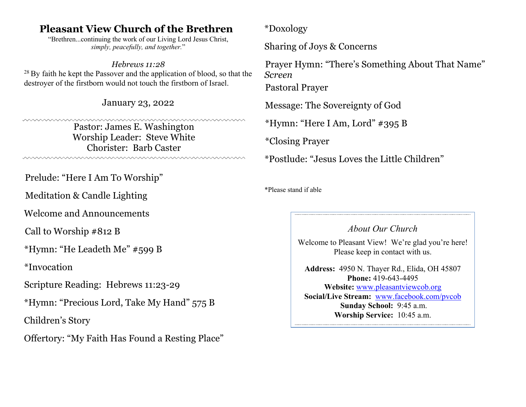# **Pleasant View Church of the Brethren**

"Brethren...continuing the work of our Living Lord Jesus Christ, *simply, peacefully, and together.*"

#### *Hebrews 11:28*

 $28$  By faith he kept the Passover and the application of blood, so that the destroyer of the firstborn would not touch the firstborn of Israel.

January 23, 2022

Pastor: James E. Washington Worship Leader: Steve White Chorister: Barb Caster 

Prelude: "Here I Am To Worship"

Meditation & Candle Lighting

Welcome and Announcements

Call to Worship #812 B

\*Hymn: "He Leadeth Me" #599 B

\*Invocation

Scripture Reading: Hebrews 11:23-29

\*Hymn: "Precious Lord, Take My Hand" 575 B

Children's Story

Offertory: "My Faith Has Found a Resting Place"

\*Doxology

Sharing of Joys & Concerns

Prayer Hymn: "There's Something About That Name" *Screen* Pastoral Prayer

Message: The Sovereignty of God

\*Hymn: "Here I Am, Lord" #395 B

\*Closing Prayer

\*Postlude: "Jesus Loves the Little Children"

\*Please stand if able

#### *About Our Church*

<u> 1989 - Johann Stoff, amerikansk politiker (d. 1989)</u>

Welcome to Pleasant View! We're glad you're here! Please keep in contact with us.

**Address:** 4950 N. Thayer Rd., Elida, OH 45807 **Phone:** 419-643-4495 **Website:** www.pleasantviewcob.org **Social/Live Stream:** www.facebook.com/pvcob **Sunday School:** 9:45 a.m. **Worship Service:** 10:45 a.m.